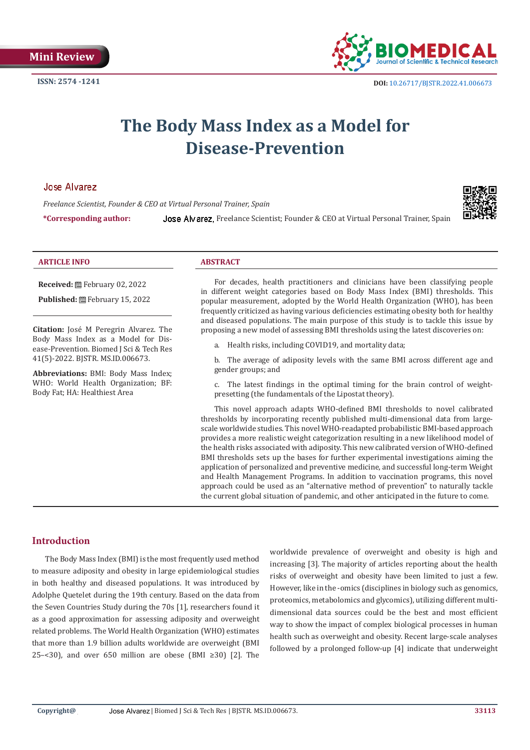

# **The Body Mass Index as a Model for Disease-Prevention**

#### **José Alvarez**

*Freelance Scientist, Founder & CEO at Virtual Personal Trainer, Spain*

\*Corresponding author: Jose Alvarez, Freelance Scientist; Founder & CEO at Virtual Personal Trainer, Spain



#### **ARTICLE INFO ABSTRACT**

**Received:** February 02, 2022

Published: **■**February 15, 2022

**Citation:** José M Peregrin Alvarez. The Body Mass Index as a Model for Disease-Prevention. Biomed J Sci & Tech Res 41(5)-2022. BJSTR. MS.ID.006673.

**Abbreviations:** BMI: Body Mass Index; WHO: World Health Organization; BF: Body Fat; HA: Healthiest Area

For decades, health practitioners and clinicians have been classifying people in different weight categories based on Body Mass Index (BMI) thresholds. This popular measurement, adopted by the World Health Organization (WHO), has been frequently criticized as having various deficiencies estimating obesity both for healthy and diseased populations. The main purpose of this study is to tackle this issue by proposing a new model of assessing BMI thresholds using the latest discoveries on:

a. Health risks, including COVID19, and mortality data;

b. The average of adiposity levels with the same BMI across different age and gender groups; and

c. The latest findings in the optimal timing for the brain control of weightpresetting (the fundamentals of the Lipostat theory).

This novel approach adapts WHO-defined BMI thresholds to novel calibrated thresholds by incorporating recently published multi-dimensional data from largescale worldwide studies. This novel WHO-readapted probabilistic BMI-based approach provides a more realistic weight categorization resulting in a new likelihood model of the health risks associated with adiposity. This new calibrated version of WHO-defined BMI thresholds sets up the bases for further experimental investigations aiming the application of personalized and preventive medicine, and successful long-term Weight and Health Management Programs. In addition to vaccination programs, this novel approach could be used as an "alternative method of prevention" to naturally tackle the current global situation of pandemic, and other anticipated in the future to come.

# **Introduction**

The Body Mass Index (BMI) is the most frequently used method to measure adiposity and obesity in large epidemiological studies in both healthy and diseased populations. It was introduced by Adolphe Quetelet during the 19th century. Based on the data from the Seven Countries Study during the 70s [1], researchers found it as a good approximation for assessing adiposity and overweight related problems. The World Health Organization (WHO) estimates that more than 1.9 billion adults worldwide are overweight (BMI 25–<30), and over 650 million are obese (BMI  $\geq$ 30) [2]. The

worldwide prevalence of overweight and obesity is high and increasing [3]. The majority of articles reporting about the health risks of overweight and obesity have been limited to just a few. However, like in the -omics (disciplines in biology such as genomics, proteomics, metabolomics and glycomics), utilizing different multidimensional data sources could be the best and most efficient way to show the impact of complex biological processes in human health such as overweight and obesity. Recent large-scale analyses followed by a prolonged follow-up [4] indicate that underweight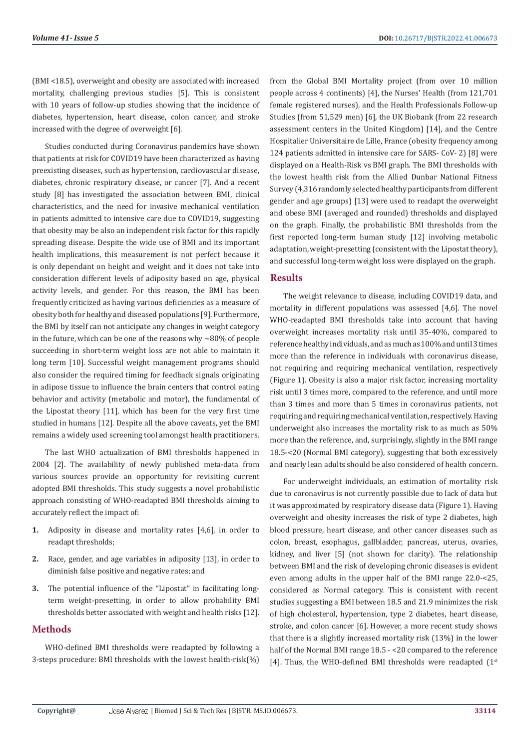(BMI <18.5), overweight and obesity are associated with increased mortality, challenging previous studies [5]. This is consistent with 10 years of follow-up studies showing that the incidence of diabetes, hypertension, heart disease, colon cancer, and stroke increased with the degree of overweight [6].

Studies conducted during Coronavirus pandemics have shown that patients at risk for COVID19 have been characterized as having preexisting diseases, such as hypertension, cardiovascular disease, diabetes, chronic respiratory disease, or cancer [7]. And a recent study [8] has investigated the association between BMI, clinical characteristics, and the need for invasive mechanical ventilation in patients admitted to intensive care due to COVID19, suggesting that obesity may be also an independent risk factor for this rapidly spreading disease. Despite the wide use of BMI and its important health implications, this measurement is not perfect because it is only dependant on height and weight and it does not take into consideration different levels of adiposity based on age, physical activity levels, and gender. For this reason, the BMI has been frequently criticized as having various deficiencies as a measure of obesity both for healthy and diseased populations [9]. Furthermore, the BMI by itself can not anticipate any changes in weight category in the future, which can be one of the reasons why  $\sim$ 80% of people succeeding in short-term weight loss are not able to maintain it long term [10]. Successful weight management programs should also consider the required timing for feedback signals originating in adipose tissue to influence the brain centers that control eating behavior and activity (metabolic and motor), the fundamental of the Lipostat theory [11], which has been for the very first time studied in humans [12]. Despite all the above caveats, yet the BMI remains a widely used screening tool amongst health practitioners.

The last WHO actualization of BMI thresholds happened in 2004 [2]. The availability of newly published meta-data from various sources provide an opportunity for revisiting current adopted BMI thresholds. This study suggests a novel probabilistic approach consisting of WHO-readapted BMI thresholds aiming to accurately reflect the impact of:

- **1.** Adiposity in disease and mortality rates [4,6], in order to readapt thresholds;
- **2.** Race, gender, and age variables in adiposity [13], in order to diminish false positive and negative rates; and
- **3.** The potential influence of the "Lipostat" in facilitating longterm weight-presetting, in order to allow probability BMI thresholds better associated with weight and health risks [12].

# **Methods**

WHO-defined BMI thresholds were readapted by following a 3-steps procedure: BMI thresholds with the lowest health-risk(%) from the Global BMI Mortality project (from over 10 million people across 4 continents) [4], the Nurses' Health (from 121,701 female registered nurses), and the Health Professionals Follow-up Studies (from 51,529 men) [6], the UK Biobank (from 22 research assessment centers in the United Kingdom) [14], and the Centre Hospitalier Universitaire de Lille, France (obesity frequency among 124 patients admitted in intensive care for SARS- CoV- 2) [8] were displayed on a Health-Risk vs BMI graph. The BMI thresholds with the lowest health risk from the Allied Dunbar National Fitness Survey (4,316 randomly selected healthy participants from different gender and age groups) [13] were used to readapt the overweight and obese BMI (averaged and rounded) thresholds and displayed on the graph. Finally, the probabilistic BMI thresholds from the first reported long-term human study [12] involving metabolic adaptation, weight-presetting (consistent with the Lipostat theory), and successful long-term weight loss were displayed on the graph.

### **Results**

The weight relevance to disease, including COVID19 data, and mortality in different populations was assessed [4,6]. The novel WHO-readapted BMI thresholds take into account that having overweight increases mortality risk until 35-40%, compared to reference healthy individuals, and as much as 100% and until 3 times more than the reference in individuals with coronavirus disease, not requiring and requiring mechanical ventilation, respectively (Figure 1). Obesity is also a major risk factor, increasing mortality risk until 3 times more, compared to the reference, and until more than 3 times and more than 5 times in coronavirus patients, not requiring and requiring mechanical ventilation, respectively. Having underweight also increases the mortality risk to as much as 50% more than the reference, and, surprisingly, slightly in the BMI range 18.5-<20 (Normal BMI category), suggesting that both excessively and nearly lean adults should be also considered of health concern.

For underweight individuals, an estimation of mortality risk due to coronavirus is not currently possible due to lack of data but it was approximated by respiratory disease data (Figure 1). Having overweight and obesity increases the risk of type 2 diabetes, high blood pressure, heart disease, and other cancer diseases such as colon, breast, esophagus, gallbladder, pancreas, uterus, ovaries, kidney, and liver [5] (not shown for clarity). The relationship between BMI and the risk of developing chronic diseases is evident even among adults in the upper half of the BMI range 22.0-<25, considered as Normal category. This is consistent with recent studies suggesting a BMI between 18.5 and 21.9 minimizes the risk of high cholesterol, hypertension, type 2 diabetes, heart disease, stroke, and colon cancer [6]. However, a more recent study shows that there is a slightly increased mortality risk (13%) in the lower half of the Normal BMI range 18.5 - <20 compared to the reference [4]. Thus, the WHO-defined BMI thresholds were readapted  $(1<sup>st</sup>)$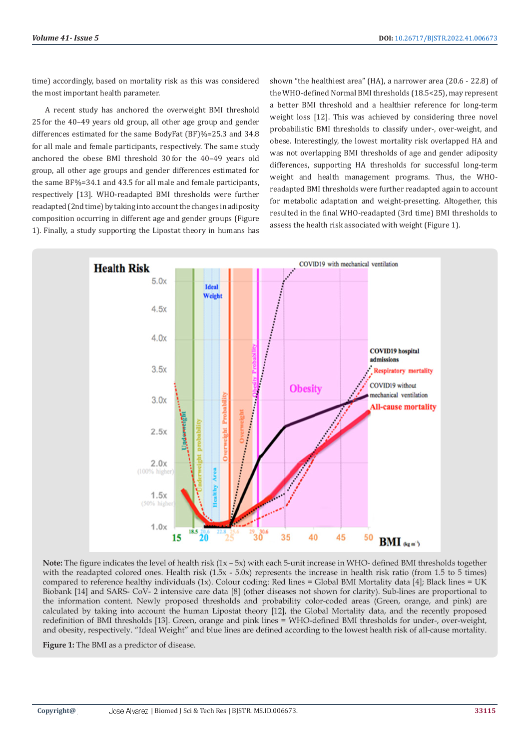time) accordingly, based on mortality risk as this was considered the most important health parameter.

A recent study has anchored the overweight BMI threshold 25 for the 40–49 years old group, all other age group and gender differences estimated for the same BodyFat (BF)%=25.3 and 34.8 for all male and female participants, respectively. The same study anchored the obese BMI threshold 30 for the 40–49 years old group, all other age groups and gender differences estimated for the same BF%=34.1 and 43.5 for all male and female participants, respectively [13]. WHO-readapted BMI thresholds were further readapted (2nd time) by taking into account the changes in adiposity composition occurring in different age and gender groups (Figure 1). Finally, a study supporting the Lipostat theory in humans has

shown "the healthiest area" (HA), a narrower area (20.6 - 22.8) of the WHO-defined Normal BMI thresholds (18.5<25), may represent a better BMI threshold and a healthier reference for long-term weight loss [12]. This was achieved by considering three novel probabilistic BMI thresholds to classify under-, over-weight, and obese. Interestingly, the lowest mortality risk overlapped HA and was not overlapping BMI thresholds of age and gender adiposity differences, supporting HA thresholds for successful long-term weight and health management programs. Thus, the WHOreadapted BMI thresholds were further readapted again to account for metabolic adaptation and weight-presetting. Altogether, this resulted in the final WHO-readapted (3rd time) BMI thresholds to assess the health risk associated with weight (Figure 1).



**Note:** The figure indicates the level of health risk (1x – 5x) with each 5-unit increase in WHO- defined BMI thresholds together with the readapted colored ones. Health risk  $(1.5x - 5.0x)$  represents the increase in health risk ratio (from 1.5 to 5 times) compared to reference healthy individuals (1x). Colour coding: Red lines = Global BMI Mortality data [4]; Black lines = UK Biobank [14] and SARS- CoV- 2 intensive care data [8] (other diseases not shown for clarity). Sub-lines are proportional to the information content. Newly proposed thresholds and probability color-coded areas (Green, orange, and pink) are calculated by taking into account the human Lipostat theory [12], the Global Mortality data, and the recently proposed redefinition of BMI thresholds [13]. Green, orange and pink lines = WHO-defined BMI thresholds for under-, over-weight, and obesity, respectively. "Ideal Weight" and blue lines are defined according to the lowest health risk of all-cause mortality.

**Figure 1:** The BMI as a predictor of disease.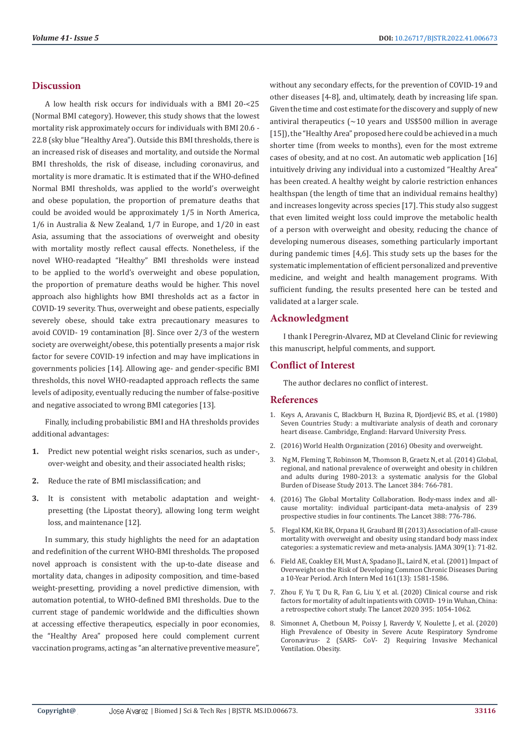# **Discussion**

A low health risk occurs for individuals with a BMI 20-<25 (Normal BMI category). However, this study shows that the lowest mortality risk approximately occurs for individuals with BMI 20.6 - 22.8 (sky blue "Healthy Area"). Outside this BMI thresholds, there is an increased risk of diseases and mortality, and outside the Normal BMI thresholds, the risk of disease, including coronavirus, and mortality is more dramatic. It is estimated that if the WHO-defined Normal BMI thresholds, was applied to the world's overweight and obese population, the proportion of premature deaths that could be avoided would be approximately 1/5 in North America, 1/6 in Australia & New Zealand, 1/7 in Europe, and 1/20 in east Asia, assuming that the associations of overweight and obesity with mortality mostly reflect causal effects. Nonetheless, if the novel WHO-readapted "Healthy" BMI thresholds were instead to be applied to the world's overweight and obese population, the proportion of premature deaths would be higher. This novel approach also highlights how BMI thresholds act as a factor in COVID-19 severity. Thus, overweight and obese patients, especially severely obese, should take extra precautionary measures to avoid COVID- 19 contamination [8]. Since over 2/3 of the western society are overweight/obese, this potentially presents a major risk factor for severe COVID-19 infection and may have implications in governments policies [14]. Allowing age- and gender-specific BMI thresholds, this novel WHO-readapted approach reflects the same levels of adiposity, eventually reducing the number of false-positive and negative associated to wrong BMI categories [13].

Finally, including probabilistic BMI and HA thresholds provides additional advantages:

- **1.** Predict new potential weight risks scenarios, such as under-, over-weight and obesity, and their associated health risks;
- **2.** Reduce the rate of BMI misclassification; and
- **3.** It is consistent with metabolic adaptation and weightpresetting (the Lipostat theory), allowing long term weight loss, and maintenance [12].

In summary, this study highlights the need for an adaptation and redefinition of the current WHO-BMI thresholds. The proposed novel approach is consistent with the up-to-date disease and mortality data, changes in adiposity composition, and time-based weight-presetting, providing a novel predictive dimension, with automation potential, to WHO-defined BMI thresholds. Due to the current stage of pandemic worldwide and the difficulties shown at accessing effective therapeutics, especially in poor economies, the "Healthy Area" proposed here could complement current vaccination programs, acting as "an alternative preventive measure", without any secondary effects, for the prevention of COVID-19 and other diseases [4-8], and, ultimately, death by increasing life span. Given the time and cost estimate for the discovery and supply of new antiviral therapeutics ( $\sim$ 10 years and US\$500 million in average [15]), the "Healthy Area" proposed here could be achieved in a much shorter time (from weeks to months), even for the most extreme cases of obesity, and at no cost. An automatic web application [16] intuitively driving any individual into a customized "Healthy Area" has been created. A healthy weight by calorie restriction enhances healthspan (the length of time that an individual remains healthy) and increases longevity across species [17]. This study also suggest that even limited weight loss could improve the metabolic health of a person with overweight and obesity, reducing the chance of developing numerous diseases, something particularly important during pandemic times [4,6]. This study sets up the bases for the systematic implementation of efficient personalized and preventive medicine, and weight and health management programs. With sufficient funding, the results presented here can be tested and validated at a larger scale.

# **Acknowledgment**

I thank I Peregrin-Alvarez, MD at Cleveland Clinic for reviewing this manuscript, helpful comments, and support.

# **Conflict of Interest**

The author declares no conflict of interest.

### **References**

- 1. [Keys A, Aravanis C, Blackburn H, Buzina R, Djordjevi](https://www.degruyter.com/document/doi/10.4159/harvard.9780674497887/html?lang=en)ć BS, et al. (1980) [Seven Countries Study: a multivariate analysis of death and coronary](https://www.degruyter.com/document/doi/10.4159/harvard.9780674497887/html?lang=en) [heart disease. Cambridge, England: Harvard University Press.](https://www.degruyter.com/document/doi/10.4159/harvard.9780674497887/html?lang=en)
- 2. [\(2016\) World Health Organization \(2016\) Obesity and overweight.](https://www.who.int/news-room/fact-sheets/detail/obesity-and-overweight)
- 3. [Ng M, Fleming T, Robinson M, Thomson B, Graetz N, et al. \(2014\) Global,](https://pubmed.ncbi.nlm.nih.gov/24880830/) [regional, and national prevalence of overweight and obesity in children](https://pubmed.ncbi.nlm.nih.gov/24880830/) [and adults during 1980-2013: a systematic analysis for the Global](https://pubmed.ncbi.nlm.nih.gov/24880830/) [Burden of Disease Study 2013. The Lancet 384: 766-781.](https://pubmed.ncbi.nlm.nih.gov/24880830/)
- 4. [\(2016\) The Global Mortality Collaboration. Body-mass index and all](https://www.thelancet.com/journals/lancet/article/PIIS0140-6736(16)30175-1/fulltext)[cause mortality: individual participant-data meta-analysis of 239](https://www.thelancet.com/journals/lancet/article/PIIS0140-6736(16)30175-1/fulltext) [prospective studies in four continents. The Lancet 388: 776-786.](https://www.thelancet.com/journals/lancet/article/PIIS0140-6736(16)30175-1/fulltext)
- 5. [Flegal KM, Kit BK, Orpana H, Graubard BI \(2013\) Association of all-cause](https://pubmed.ncbi.nlm.nih.gov/23280227/) [mortality with overweight and obesity using standard body mass index](https://pubmed.ncbi.nlm.nih.gov/23280227/) [categories: a systematic review and meta-analysis. JAMA 309\(1\): 71-82.](https://pubmed.ncbi.nlm.nih.gov/23280227/)
- 6. Field AE, Coakley EH, Must A, Spadano JL, Laird N, et al. (2001) Impact of Overweight on the Risk of Developing Common Chronic Diseases During a 10-Year Period. Arch Intern Med 161(13): 1581-1586.
- 7. [Zhou F, Yu T, Du R, Fan G, Liu Y, et al. \(2020\) Clinical course and risk](https://www.thelancet.com/journals/lancet/article/PIIS0140-6736(20)30566-3/fulltext) [factors for mortality of adult inpatients with COVID- 19 in Wuhan, China:](https://www.thelancet.com/journals/lancet/article/PIIS0140-6736(20)30566-3/fulltext) [a retrospective cohort study. The Lancet 2020 395: 1054-1062.](https://www.thelancet.com/journals/lancet/article/PIIS0140-6736(20)30566-3/fulltext)
- 8. [Simonnet A, Chetboun M, Poissy J, Raverdy V, Noulette J, et al. \(2020\)](https://www.ncbi.nlm.nih.gov/labs/pmc/articles/PMC7262326/) [High Prevalence of Obesity in Severe Acute Respiratory Syndrome](https://www.ncbi.nlm.nih.gov/labs/pmc/articles/PMC7262326/) [Coronavirus- 2 \(SARS- CoV- 2\) Requiring Invasive Mechanical](https://www.ncbi.nlm.nih.gov/labs/pmc/articles/PMC7262326/) [Ventilation. Obesity.](https://www.ncbi.nlm.nih.gov/labs/pmc/articles/PMC7262326/)